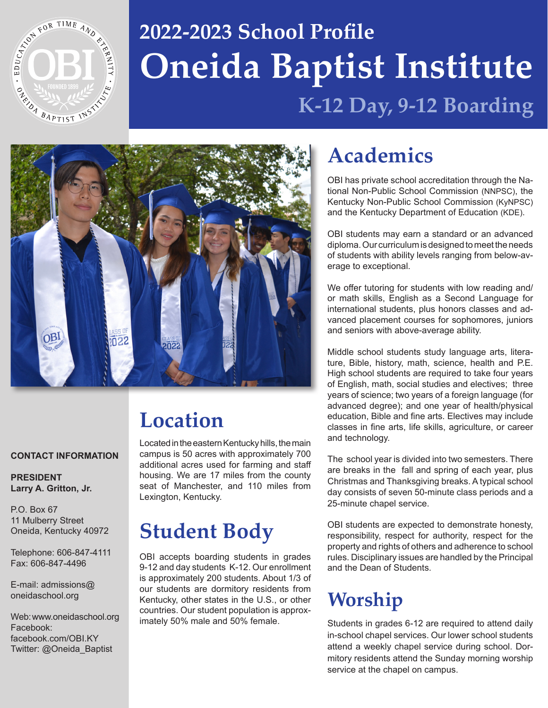

# **Oneida Baptist Institute 2022-2023 School Profile K-12 Day, 9-12 Boarding**



# **Location**

Located in the eastern Kentucky hills, the main campus is 50 acres with approximately 700 additional acres used for farming and staff housing. We are 17 miles from the county seat of Manchester, and 110 miles from Lexington, Kentucky.

## **Student Body**

OBI accepts boarding students in grades 9-12 and day students K-12. Our enrollment is approximately 200 students. About 1/3 of our students are dormitory residents from Kentucky, other states in the U.S., or other countries. Our student population is approximately 50% male and 50% female.

## **Academics**

OBI has private school accreditation through the National Non-Public School Commission (NNPSC), the Kentucky Non-Public School Commission (KyNPSC) and the Kentucky Department of Education (KDE).

OBI students may earn a standard or an advanced diploma. Our curriculum is designed to meet the needs of students with ability levels ranging from below-average to exceptional.

We offer tutoring for students with low reading and/ or math skills, English as a Second Language for international students, plus honors classes and advanced placement courses for sophomores, juniors and seniors with above-average ability.

Middle school students study language arts, literature, Bible, history, math, science, health and P.E. High school students are required to take four years of English, math, social studies and electives; three years of science; two years of a foreign language (for advanced degree); and one year of health/physical education, Bible and fine arts. Electives may include classes in fine arts, life skills, agriculture, or career and technology.

The school year is divided into two semesters. There are breaks in the fall and spring of each year, plus Christmas and Thanksgiving breaks. A typical school day consists of seven 50-minute class periods and a 25-minute chapel service.

OBI students are expected to demonstrate honesty, responsibility, respect for authority, respect for the property and rights of others and adherence to school rules. Disciplinary issues are handled by the Principal and the Dean of Students.

## **Worship**

Students in grades 6-12 are required to attend daily in-school chapel services. Our lower school students attend a weekly chapel service during school. Dormitory residents attend the Sunday morning worship service at the chapel on campus.

#### **CONTACT INFORMATION**

**PRESIDENT Larry A. Gritton, Jr.**

P.O. Box 67 11 Mulberry Street Oneida, Kentucky 40972

Telephone: 606-847-4111 Fax: 606-847-4496

E-mail: admissions@ oneidaschool.org

Web: www.oneidaschool.org Facebook: facebook.com/OBI.KY Twitter: @Oneida\_Baptist